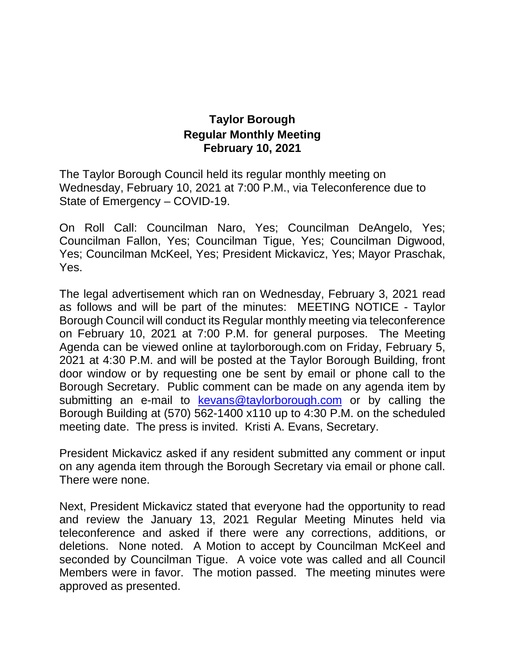## **Taylor Borough Regular Monthly Meeting February 10, 2021**

The Taylor Borough Council held its regular monthly meeting on Wednesday, February 10, 2021 at 7:00 P.M., via Teleconference due to State of Emergency – COVID-19.

On Roll Call: Councilman Naro, Yes; Councilman DeAngelo, Yes; Councilman Fallon, Yes; Councilman Tigue, Yes; Councilman Digwood, Yes; Councilman McKeel, Yes; President Mickavicz, Yes; Mayor Praschak, Yes.

The legal advertisement which ran on Wednesday, February 3, 2021 read as follows and will be part of the minutes: MEETING NOTICE - Taylor Borough Council will conduct its Regular monthly meeting via teleconference on February 10, 2021 at 7:00 P.M. for general purposes. The Meeting Agenda can be viewed online at taylorborough.com on Friday, February 5, 2021 at 4:30 P.M. and will be posted at the Taylor Borough Building, front door window or by requesting one be sent by email or phone call to the Borough Secretary. Public comment can be made on any agenda item by submitting an e-mail to [kevans@taylorborough.com](mailto:kevans@taylorborough.com) or by calling the Borough Building at (570) 562-1400 x110 up to 4:30 P.M. on the scheduled meeting date. The press is invited. Kristi A. Evans, Secretary.

President Mickavicz asked if any resident submitted any comment or input on any agenda item through the Borough Secretary via email or phone call. There were none.

Next, President Mickavicz stated that everyone had the opportunity to read and review the January 13, 2021 Regular Meeting Minutes held via teleconference and asked if there were any corrections, additions, or deletions. None noted. A Motion to accept by Councilman McKeel and seconded by Councilman Tigue. A voice vote was called and all Council Members were in favor. The motion passed. The meeting minutes were approved as presented.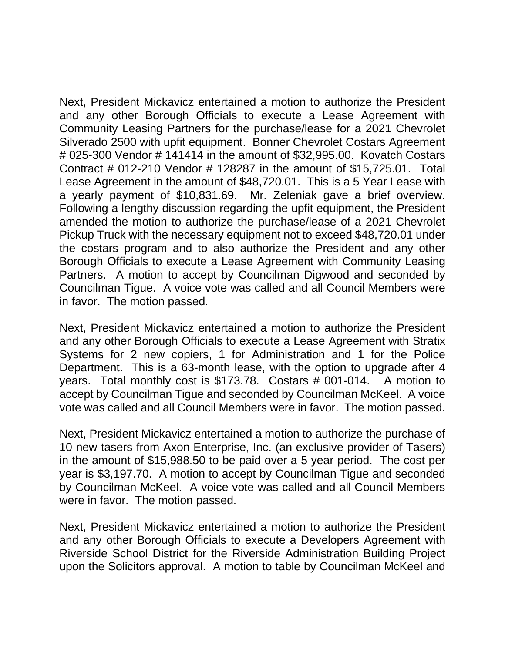Next, President Mickavicz entertained a motion to authorize the President and any other Borough Officials to execute a Lease Agreement with Community Leasing Partners for the purchase/lease for a 2021 Chevrolet Silverado 2500 with upfit equipment. Bonner Chevrolet Costars Agreement # 025-300 Vendor # 141414 in the amount of \$32,995.00. Kovatch Costars Contract # 012-210 Vendor # 128287 in the amount of \$15,725.01. Total Lease Agreement in the amount of \$48,720.01. This is a 5 Year Lease with a yearly payment of \$10,831.69. Mr. Zeleniak gave a brief overview. Following a lengthy discussion regarding the upfit equipment, the President amended the motion to authorize the purchase/lease of a 2021 Chevrolet Pickup Truck with the necessary equipment not to exceed \$48,720.01 under the costars program and to also authorize the President and any other Borough Officials to execute a Lease Agreement with Community Leasing Partners. A motion to accept by Councilman Digwood and seconded by Councilman Tigue. A voice vote was called and all Council Members were in favor. The motion passed.

Next, President Mickavicz entertained a motion to authorize the President and any other Borough Officials to execute a Lease Agreement with Stratix Systems for 2 new copiers, 1 for Administration and 1 for the Police Department. This is a 63-month lease, with the option to upgrade after 4 years. Total monthly cost is \$173.78. Costars # 001-014. A motion to accept by Councilman Tigue and seconded by Councilman McKeel. A voice vote was called and all Council Members were in favor. The motion passed.

Next, President Mickavicz entertained a motion to authorize the purchase of 10 new tasers from Axon Enterprise, Inc. (an exclusive provider of Tasers) in the amount of \$15,988.50 to be paid over a 5 year period. The cost per year is \$3,197.70. A motion to accept by Councilman Tigue and seconded by Councilman McKeel. A voice vote was called and all Council Members were in favor. The motion passed.

Next, President Mickavicz entertained a motion to authorize the President and any other Borough Officials to execute a Developers Agreement with Riverside School District for the Riverside Administration Building Project upon the Solicitors approval. A motion to table by Councilman McKeel and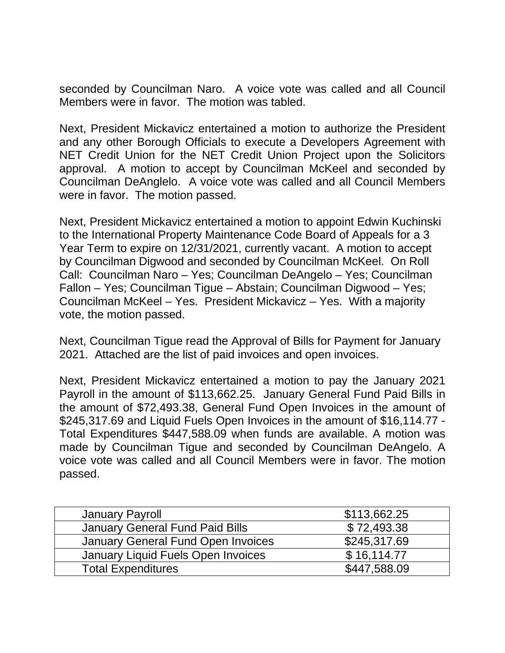seconded by Councilman Naro. A voice vote was called and all Council Members were in favor. The motion was tabled.

Next, President Mickavicz entertained a motion to authorize the President and any other Borough Officials to execute a Developers Agreement with NET Credit Union for the NET Credit Union Project upon the Solicitors approval. A motion to accept by Councilman McKeel and seconded by Councilman DeAnglelo. A voice vote was called and all Council Members were in favor. The motion passed.

Next, President Mickavicz entertained a motion to appoint Edwin Kuchinski to the International Property Maintenance Code Board of Appeals for a 3 Year Term to expire on 12/31/2021, currently vacant. A motion to accept by Councilman Digwood and seconded by Councilman McKeel. On Roll Call: Councilman Naro – Yes; Councilman DeAngelo – Yes; Councilman Fallon – Yes; Councilman Tigue – Abstain; Councilman Digwood – Yes; Councilman McKeel – Yes. President Mickavicz – Yes. With a majority vote, the motion passed.

Next, Councilman Tigue read the Approval of Bills for Payment for January 2021. Attached are the list of paid invoices and open invoices.

Next, President Mickavicz entertained a motion to pay the January 2021 Payroll in the amount of \$113,662.25. January General Fund Paid Bills in the amount of \$72,493.38, General Fund Open Invoices in the amount of \$245,317.69 and Liquid Fuels Open Invoices in the amount of \$16,114.77 - Total Expenditures \$447,588.09 when funds are available. A motion was made by Councilman Tigue and seconded by Councilman DeAngelo. A voice vote was called and all Council Members were in favor. The motion passed.

| <b>January Payroll</b>                 | \$113,662.25 |
|----------------------------------------|--------------|
| <b>January General Fund Paid Bills</b> | \$72,493.38  |
| January General Fund Open Invoices     | \$245,317.69 |
| January Liquid Fuels Open Invoices     | \$16,114.77  |
| <b>Total Expenditures</b>              | \$447,588.09 |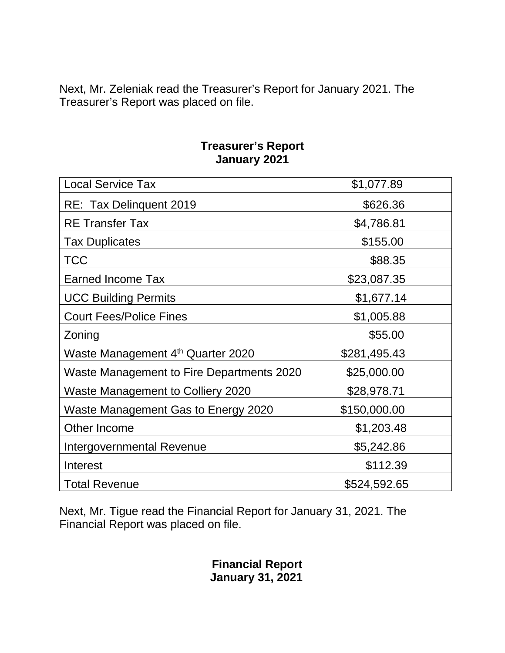Next, Mr. Zeleniak read the Treasurer's Report for January 2021. The Treasurer's Report was placed on file.

## **Treasurer's Report January 2021**

| <b>Local Service Tax</b>                      | \$1,077.89   |
|-----------------------------------------------|--------------|
| RE: Tax Delinquent 2019                       | \$626.36     |
| <b>RE</b> Transfer Tax                        | \$4,786.81   |
| <b>Tax Duplicates</b>                         | \$155.00     |
| <b>TCC</b>                                    | \$88.35      |
| <b>Earned Income Tax</b>                      | \$23,087.35  |
| <b>UCC Building Permits</b>                   | \$1,677.14   |
| <b>Court Fees/Police Fines</b>                | \$1,005.88   |
| Zoning                                        | \$55.00      |
| Waste Management 4 <sup>th</sup> Quarter 2020 | \$281,495.43 |
| Waste Management to Fire Departments 2020     | \$25,000.00  |
| Waste Management to Colliery 2020             | \$28,978.71  |
| Waste Management Gas to Energy 2020           | \$150,000.00 |
| Other Income                                  | \$1,203.48   |
| Intergovernmental Revenue                     | \$5,242.86   |
| Interest                                      | \$112.39     |
| <b>Total Revenue</b>                          | \$524,592.65 |

Next, Mr. Tigue read the Financial Report for January 31, 2021. The Financial Report was placed on file.

> **Financial Report January 31, 2021**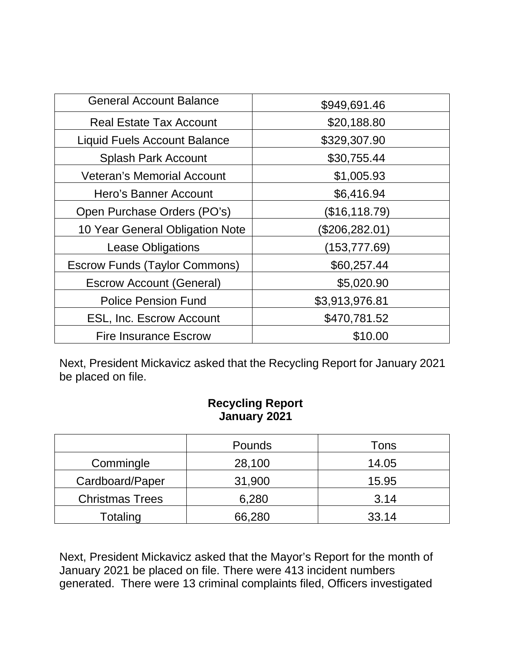| <b>General Account Balance</b>       | \$949,691.46   |
|--------------------------------------|----------------|
| <b>Real Estate Tax Account</b>       | \$20,188.80    |
| <b>Liquid Fuels Account Balance</b>  | \$329,307.90   |
| <b>Splash Park Account</b>           | \$30,755.44    |
| <b>Veteran's Memorial Account</b>    | \$1,005.93     |
| Hero's Banner Account                | \$6,416.94     |
| Open Purchase Orders (PO's)          | (\$16,118.79)  |
| 10 Year General Obligation Note      | (\$206,282.01) |
| <b>Lease Obligations</b>             | (153,777.69)   |
| <b>Escrow Funds (Taylor Commons)</b> | \$60,257.44    |
| <b>Escrow Account (General)</b>      | \$5,020.90     |
| <b>Police Pension Fund</b>           | \$3,913,976.81 |
| <b>ESL, Inc. Escrow Account</b>      | \$470,781.52   |
| <b>Fire Insurance Escrow</b>         | \$10.00        |

Next, President Mickavicz asked that the Recycling Report for January 2021 be placed on file.

## **Recycling Report January 2021**

|                        | Pounds | Tons  |
|------------------------|--------|-------|
| Commingle              | 28,100 | 14.05 |
| Cardboard/Paper        | 31,900 | 15.95 |
| <b>Christmas Trees</b> | 6,280  | 3.14  |
| Totaling               | 66,280 | 33.14 |

Next, President Mickavicz asked that the Mayor's Report for the month of January 2021 be placed on file. There were 413 incident numbers generated. There were 13 criminal complaints filed, Officers investigated